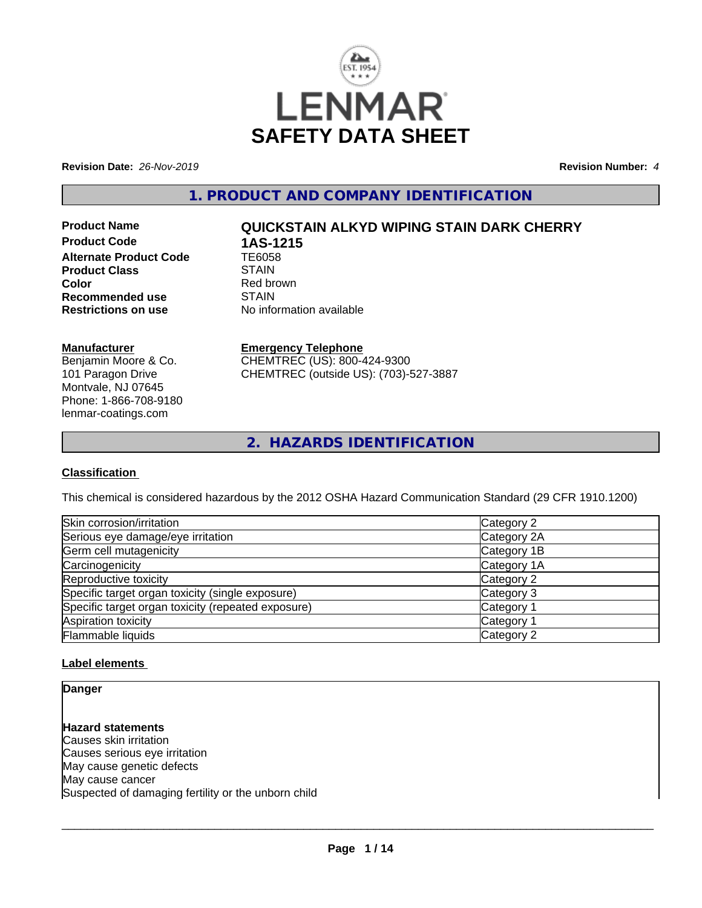

**Revision Date:** *26-Nov-2019* **Revision Number:** *4*

**1. PRODUCT AND COMPANY IDENTIFICATION**

**Product Code 1AS-1215**<br>Alternate Product Code 1E6058 **Alternate Product Code TE605**<br>Product Class STAIN **Product Class Color**<br> **Recommended use**<br> **COLORER STAIN Recommended use**<br>Restrictions on use

# **Product Name QUICKSTAIN ALKYD WIPING STAIN DARK CHERRY**

**No information available** 

#### **Manufacturer**

Benjamin Moore & Co. 101 Paragon Drive Montvale, NJ 07645 Phone: 1-866-708-9180 lenmar-coatings.com

#### **Emergency Telephone**

CHEMTREC (US): 800-424-9300 CHEMTREC (outside US): (703)-527-3887

**2. HAZARDS IDENTIFICATION**

#### **Classification**

This chemical is considered hazardous by the 2012 OSHA Hazard Communication Standard (29 CFR 1910.1200)

| Skin corrosion/irritation                          | Category 2  |
|----------------------------------------------------|-------------|
| Serious eye damage/eye irritation                  | Category 2A |
| Germ cell mutagenicity                             | Category 1B |
| Carcinogenicity                                    | Category 1A |
| Reproductive toxicity                              | Category 2  |
| Specific target organ toxicity (single exposure)   | Category 3  |
| Specific target organ toxicity (repeated exposure) | Category 1  |
| Aspiration toxicity                                | Category 1  |
| Flammable liquids                                  | Category 2  |

#### **Label elements**

**Danger**

**Hazard statements** Causes skin irritation Causes serious eye irritation May cause genetic defects May cause cancer Suspected of damaging fertility or the unborn child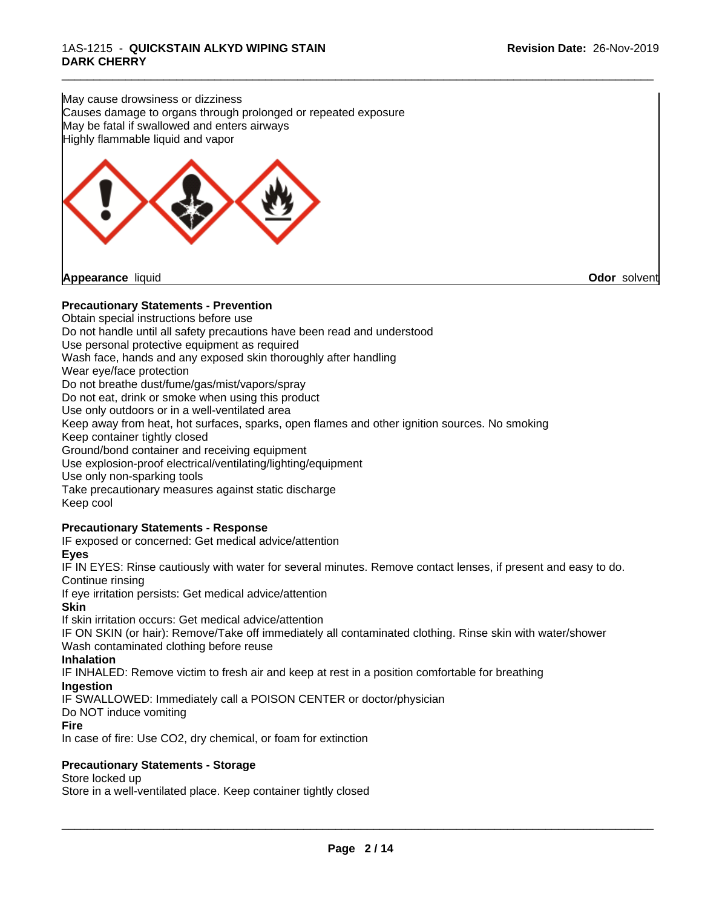May cause drowsiness or dizziness Causes damage to organs through prolonged or repeated exposure May be fatal if swallowed and enters airways Highly flammable liquid and vapor



#### **Precautionary Statements - Prevention**

Obtain special instructions before use Do not handle until all safety precautions have been read and understood Use personal protective equipment as required Wash face, hands and any exposed skin thoroughly after handling Wear eye/face protection Do not breathe dust/fume/gas/mist/vapors/spray Do not eat, drink or smoke when using this product Use only outdoors or in a well-ventilated area Keep away from heat, hot surfaces, sparks, open flames and other ignition sources. No smoking Keep container tightly closed Ground/bond container and receiving equipment Use explosion-proof electrical/ventilating/lighting/equipment Use only non-sparking tools Take precautionary measures against static discharge Keep cool

\_\_\_\_\_\_\_\_\_\_\_\_\_\_\_\_\_\_\_\_\_\_\_\_\_\_\_\_\_\_\_\_\_\_\_\_\_\_\_\_\_\_\_\_\_\_\_\_\_\_\_\_\_\_\_\_\_\_\_\_\_\_\_\_\_\_\_\_\_\_\_\_\_\_\_\_\_\_\_\_\_\_\_\_\_\_\_\_\_\_\_\_\_

### **Precautionary Statements - Response**

IF exposed or concerned: Get medical advice/attention

#### **Eyes**

IF IN EYES: Rinse cautiously with water for several minutes. Remove contact lenses, if present and easy to do. Continue rinsing

If eye irritation persists: Get medical advice/attention

#### **Skin**

If skin irritation occurs: Get medical advice/attention

IF ON SKIN (or hair): Remove/Take off immediately all contaminated clothing. Rinse skin with water/shower Wash contaminated clothing before reuse

#### **Inhalation**

IF INHALED: Remove victim to fresh air and keep atrest in a position comfortable for breathing

#### **Ingestion**

IF SWALLOWED: Immediately call a POISON CENTER or doctor/physician

#### Do NOT induce vomiting

**Fire**

In case of fire: Use CO2, dry chemical, or foam for extinction

#### **Precautionary Statements - Storage**

Store locked up

Store in a well-ventilated place. Keep container tightly closed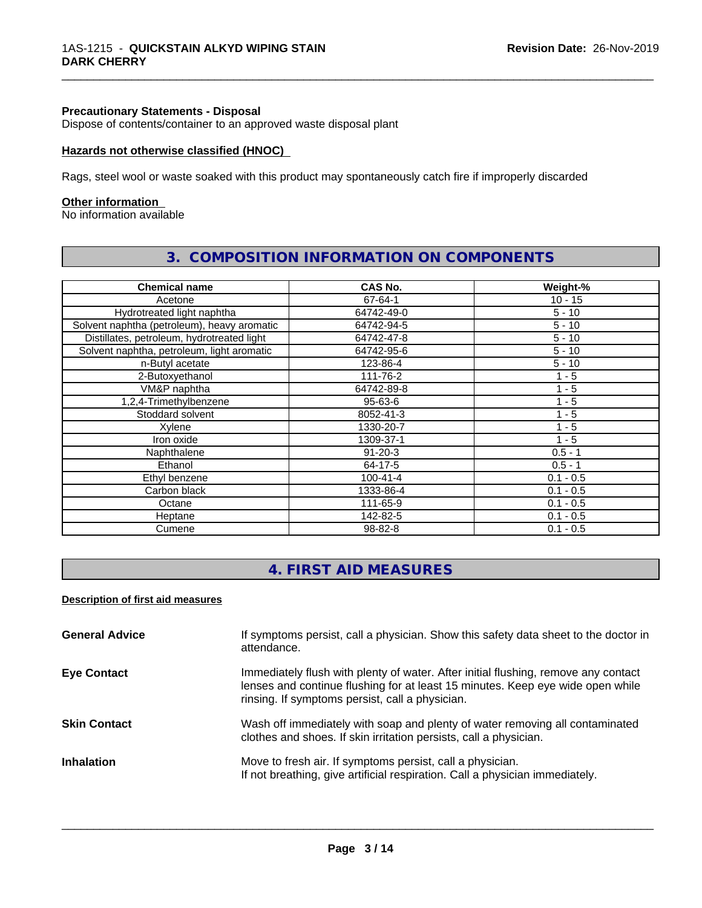#### **Precautionary Statements - Disposal**

Dispose of contents/container to an approved waste disposal plant

#### **Hazards not otherwise classified (HNOC)**

Rags, steel wool or waste soaked with this product may spontaneously catch fire if improperly discarded

#### **Other information**

No information available

| <b>Chemical name</b>                        | CAS No.        | Weight-%    |
|---------------------------------------------|----------------|-------------|
| Acetone                                     | 67-64-1        | $10 - 15$   |
| Hydrotreated light naphtha                  | 64742-49-0     | $5 - 10$    |
| Solvent naphtha (petroleum), heavy aromatic | 64742-94-5     | $5 - 10$    |
| Distillates, petroleum, hydrotreated light  | 64742-47-8     | $5 - 10$    |
| Solvent naphtha, petroleum, light aromatic  | 64742-95-6     | $5 - 10$    |
| n-Butyl acetate                             | 123-86-4       | $5 - 10$    |
| 2-Butoxyethanol                             | 111-76-2       | $1 - 5$     |
| VM&P naphtha                                | 64742-89-8     | $1 - 5$     |
| 1,2,4-Trimethylbenzene                      | $95 - 63 - 6$  | 1 - 5       |
| Stoddard solvent                            | 8052-41-3      | 1 - 5       |
| Xylene                                      | 1330-20-7      | $1 - 5$     |
| Iron oxide                                  | 1309-37-1      | $1 - 5$     |
| Naphthalene                                 | $91 - 20 - 3$  | $0.5 - 1$   |
| Ethanol                                     | 64-17-5        | $0.5 - 1$   |
| Ethyl benzene                               | $100 - 41 - 4$ | $0.1 - 0.5$ |
| Carbon black                                | 1333-86-4      | $0.1 - 0.5$ |
| Octane                                      | 111-65-9       | $0.1 - 0.5$ |
| Heptane                                     | 142-82-5       | $0.1 - 0.5$ |
| Cumene                                      | 98-82-8        | $0.1 - 0.5$ |

# **3. COMPOSITION INFORMATION ON COMPONENTS**

\_\_\_\_\_\_\_\_\_\_\_\_\_\_\_\_\_\_\_\_\_\_\_\_\_\_\_\_\_\_\_\_\_\_\_\_\_\_\_\_\_\_\_\_\_\_\_\_\_\_\_\_\_\_\_\_\_\_\_\_\_\_\_\_\_\_\_\_\_\_\_\_\_\_\_\_\_\_\_\_\_\_\_\_\_\_\_\_\_\_\_\_\_

# **4. FIRST AID MEASURES**

#### **Description of first aid measures**

| <b>General Advice</b> | If symptoms persist, call a physician. Show this safety data sheet to the doctor in<br>attendance.                                                                                                                      |
|-----------------------|-------------------------------------------------------------------------------------------------------------------------------------------------------------------------------------------------------------------------|
| <b>Eye Contact</b>    | Immediately flush with plenty of water. After initial flushing, remove any contact<br>lenses and continue flushing for at least 15 minutes. Keep eye wide open while<br>rinsing. If symptoms persist, call a physician. |
| <b>Skin Contact</b>   | Wash off immediately with soap and plenty of water removing all contaminated<br>clothes and shoes. If skin irritation persists, call a physician.                                                                       |
| <b>Inhalation</b>     | Move to fresh air. If symptoms persist, call a physician.<br>If not breathing, give artificial respiration. Call a physician immediately.                                                                               |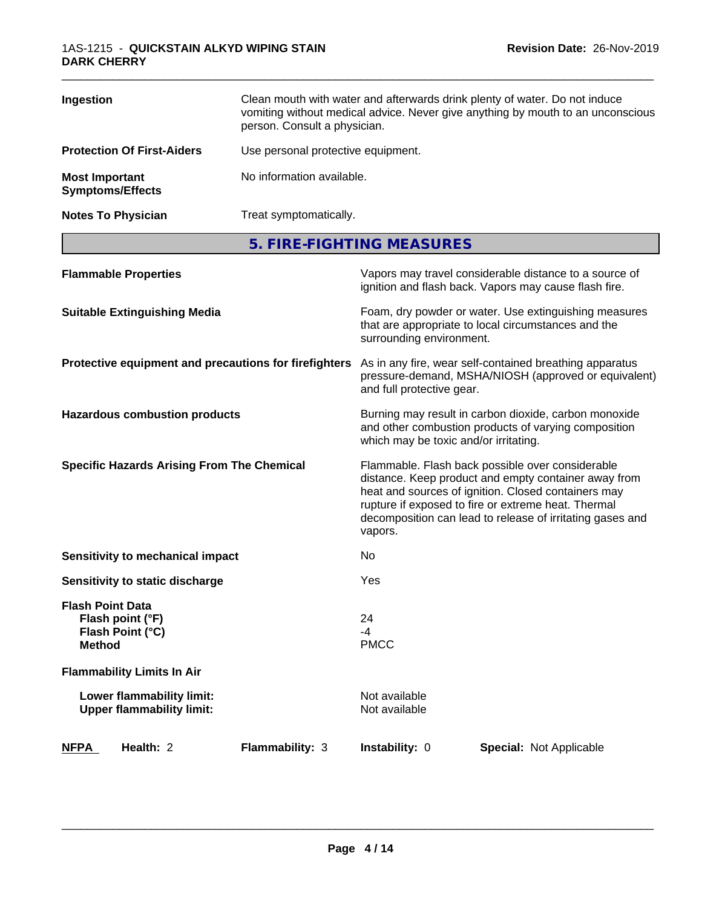| Ingestion                                        | Clean mouth with water and afterwards drink plenty of water. Do not induce<br>vomiting without medical advice. Never give anything by mouth to an unconscious<br>person. Consult a physician. |
|--------------------------------------------------|-----------------------------------------------------------------------------------------------------------------------------------------------------------------------------------------------|
| <b>Protection Of First-Aiders</b>                | Use personal protective equipment.                                                                                                                                                            |
| <b>Most Important</b><br><b>Symptoms/Effects</b> | No information available.                                                                                                                                                                     |
| <b>Notes To Physician</b>                        | Treat symptomatically.                                                                                                                                                                        |

**5. FIRE-FIGHTING MEASURES**

|                                          | <b>Flammable Properties</b>                                   |                                                       |                                       | Vapors may travel considerable distance to a source of<br>ignition and flash back. Vapors may cause flash fire.                                                                                                                                                                     |  |
|------------------------------------------|---------------------------------------------------------------|-------------------------------------------------------|---------------------------------------|-------------------------------------------------------------------------------------------------------------------------------------------------------------------------------------------------------------------------------------------------------------------------------------|--|
|                                          | <b>Suitable Extinguishing Media</b>                           |                                                       | surrounding environment.              | Foam, dry powder or water. Use extinguishing measures<br>that are appropriate to local circumstances and the                                                                                                                                                                        |  |
|                                          |                                                               | Protective equipment and precautions for firefighters | and full protective gear.             | As in any fire, wear self-contained breathing apparatus<br>pressure-demand, MSHA/NIOSH (approved or equivalent)                                                                                                                                                                     |  |
|                                          | <b>Hazardous combustion products</b>                          |                                                       | which may be toxic and/or irritating. | Burning may result in carbon dioxide, carbon monoxide<br>and other combustion products of varying composition                                                                                                                                                                       |  |
|                                          | <b>Specific Hazards Arising From The Chemical</b>             |                                                       | vapors.                               | Flammable. Flash back possible over considerable<br>distance. Keep product and empty container away from<br>heat and sources of ignition. Closed containers may<br>rupture if exposed to fire or extreme heat. Thermal<br>decomposition can lead to release of irritating gases and |  |
|                                          | <b>Sensitivity to mechanical impact</b>                       |                                                       | No                                    |                                                                                                                                                                                                                                                                                     |  |
| Sensitivity to static discharge          |                                                               | Yes                                                   |                                       |                                                                                                                                                                                                                                                                                     |  |
| <b>Flash Point Data</b><br><b>Method</b> | Flash point (°F)<br>Flash Point (°C)                          |                                                       | 24<br>$-4$<br><b>PMCC</b>             |                                                                                                                                                                                                                                                                                     |  |
|                                          | <b>Flammability Limits In Air</b>                             |                                                       |                                       |                                                                                                                                                                                                                                                                                     |  |
|                                          | Lower flammability limit:<br><b>Upper flammability limit:</b> |                                                       | Not available<br>Not available        |                                                                                                                                                                                                                                                                                     |  |
| <b>NFPA</b>                              | Health: 2                                                     | Flammability: 3                                       | Instability: 0                        | <b>Special: Not Applicable</b>                                                                                                                                                                                                                                                      |  |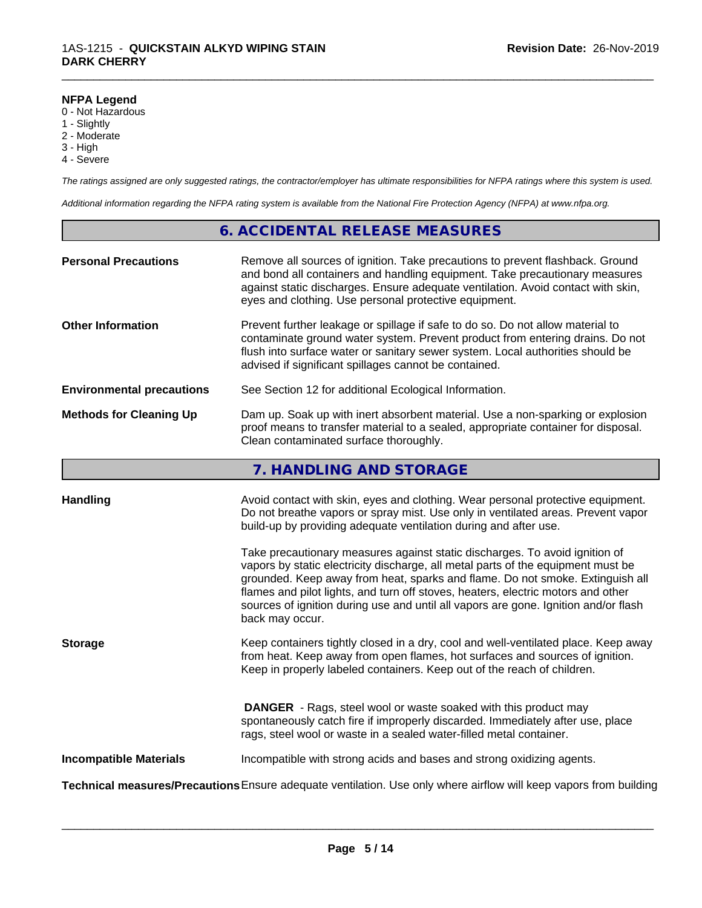#### **NFPA Legend**

- 0 Not Hazardous
- 1 Slightly
- 2 Moderate
- 3 High
- 4 Severe

*The ratings assigned are only suggested ratings, the contractor/employer has ultimate responsibilities for NFPA ratings where this system is used.*

\_\_\_\_\_\_\_\_\_\_\_\_\_\_\_\_\_\_\_\_\_\_\_\_\_\_\_\_\_\_\_\_\_\_\_\_\_\_\_\_\_\_\_\_\_\_\_\_\_\_\_\_\_\_\_\_\_\_\_\_\_\_\_\_\_\_\_\_\_\_\_\_\_\_\_\_\_\_\_\_\_\_\_\_\_\_\_\_\_\_\_\_\_

*Additional information regarding the NFPA rating system is available from the National Fire Protection Agency (NFPA) at www.nfpa.org.*

#### **6. ACCIDENTAL RELEASE MEASURES**

| <b>Personal Precautions</b>      | Remove all sources of ignition. Take precautions to prevent flashback. Ground<br>and bond all containers and handling equipment. Take precautionary measures<br>against static discharges. Ensure adequate ventilation. Avoid contact with skin,<br>eyes and clothing. Use personal protective equipment.  |
|----------------------------------|------------------------------------------------------------------------------------------------------------------------------------------------------------------------------------------------------------------------------------------------------------------------------------------------------------|
| <b>Other Information</b>         | Prevent further leakage or spillage if safe to do so. Do not allow material to<br>contaminate ground water system. Prevent product from entering drains. Do not<br>flush into surface water or sanitary sewer system. Local authorities should be<br>advised if significant spillages cannot be contained. |
| <b>Environmental precautions</b> | See Section 12 for additional Ecological Information.                                                                                                                                                                                                                                                      |
| <b>Methods for Cleaning Up</b>   | Dam up. Soak up with inert absorbent material. Use a non-sparking or explosion<br>proof means to transfer material to a sealed, appropriate container for disposal.<br>Clean contaminated surface thoroughly.                                                                                              |

# **7. HANDLING AND STORAGE**

| <b>Handling</b>               | Avoid contact with skin, eyes and clothing. Wear personal protective equipment.<br>Do not breathe vapors or spray mist. Use only in ventilated areas. Prevent vapor<br>build-up by providing adequate ventilation during and after use.                                                                                                                                                                                                        |
|-------------------------------|------------------------------------------------------------------------------------------------------------------------------------------------------------------------------------------------------------------------------------------------------------------------------------------------------------------------------------------------------------------------------------------------------------------------------------------------|
|                               | Take precautionary measures against static discharges. To avoid ignition of<br>vapors by static electricity discharge, all metal parts of the equipment must be<br>grounded. Keep away from heat, sparks and flame. Do not smoke. Extinguish all<br>flames and pilot lights, and turn off stoves, heaters, electric motors and other<br>sources of ignition during use and until all vapors are gone. Ignition and/or flash<br>back may occur. |
| <b>Storage</b>                | Keep containers tightly closed in a dry, cool and well-ventilated place. Keep away<br>from heat. Keep away from open flames, hot surfaces and sources of ignition.<br>Keep in properly labeled containers. Keep out of the reach of children.                                                                                                                                                                                                  |
|                               | <b>DANGER</b> - Rags, steel wool or waste soaked with this product may<br>spontaneously catch fire if improperly discarded. Immediately after use, place<br>rags, steel wool or waste in a sealed water-filled metal container.                                                                                                                                                                                                                |
| <b>Incompatible Materials</b> | Incompatible with strong acids and bases and strong oxidizing agents.                                                                                                                                                                                                                                                                                                                                                                          |
|                               | <b>Technical measures/Precautions</b> Ensure adequate ventilation. Use only where airflow will keep vapors from building                                                                                                                                                                                                                                                                                                                       |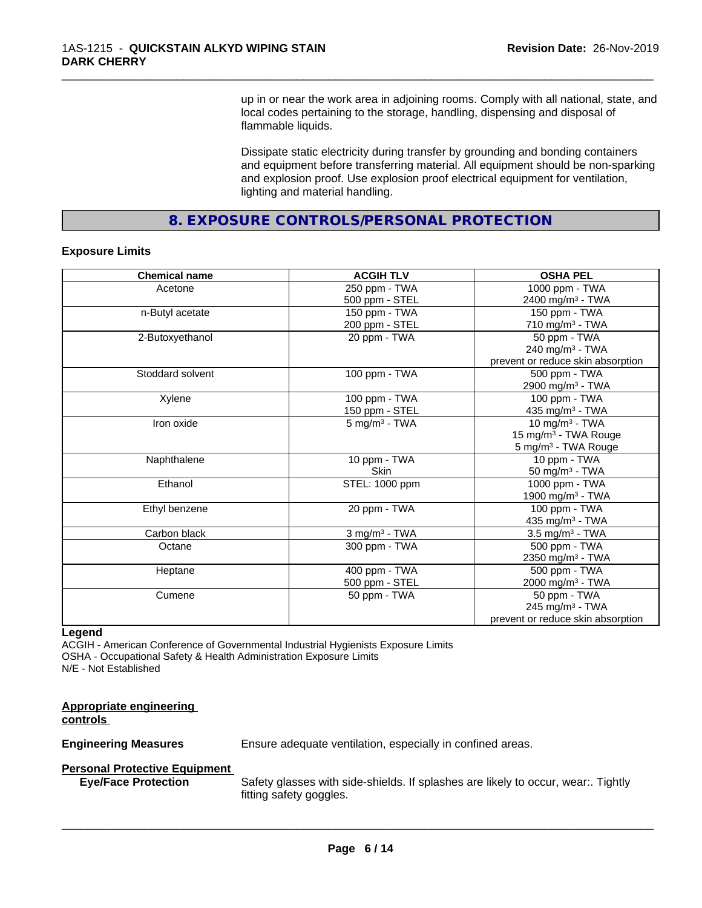up in or near the work area in adjoining rooms. Comply with all national, state, and local codes pertaining to the storage, handling, dispensing and disposal of flammable liquids.

\_\_\_\_\_\_\_\_\_\_\_\_\_\_\_\_\_\_\_\_\_\_\_\_\_\_\_\_\_\_\_\_\_\_\_\_\_\_\_\_\_\_\_\_\_\_\_\_\_\_\_\_\_\_\_\_\_\_\_\_\_\_\_\_\_\_\_\_\_\_\_\_\_\_\_\_\_\_\_\_\_\_\_\_\_\_\_\_\_\_\_\_\_

Dissipate static electricity during transfer by grounding and bonding containers and equipment before transferring material. All equipment should be non-sparking and explosion proof. Use explosion proof electrical equipment for ventilation, lighting and material handling.

**8. EXPOSURE CONTROLS/PERSONAL PROTECTION**

#### **Exposure Limits**

| <b>Chemical name</b> | <b>ACGIH TLV</b>            | <b>OSHA PEL</b>                   |
|----------------------|-----------------------------|-----------------------------------|
| Acetone              | 250 ppm - TWA               | 1000 ppm - TWA                    |
|                      | 500 ppm - STEL              | 2400 mg/m <sup>3</sup> - TWA      |
| n-Butyl acetate      | 150 ppm - TWA               | 150 ppm - TWA                     |
|                      | 200 ppm - STEL              | 710 mg/m <sup>3</sup> - TWA       |
| 2-Butoxyethanol      | 20 ppm - TWA                | 50 ppm - TWA                      |
|                      |                             | 240 mg/m $3$ - TWA                |
|                      |                             | prevent or reduce skin absorption |
| Stoddard solvent     | 100 ppm - TWA               | $\overline{500}$ ppm - TWA        |
|                      |                             | 2900 mg/m <sup>3</sup> - TWA      |
| Xylene               | 100 ppm - TWA               | 100 ppm - TWA                     |
|                      | 150 ppm - STEL              | 435 mg/m <sup>3</sup> - TWA       |
| Iron oxide           | $5$ mg/m <sup>3</sup> - TWA | 10 mg/m $3$ - TWA                 |
|                      |                             | 15 mg/m <sup>3</sup> - TWA Rouge  |
|                      |                             | 5 mg/m <sup>3</sup> - TWA Rouge   |
| Naphthalene          | 10 ppm - TWA                | 10 ppm - TWA                      |
|                      | Skin                        | $50$ mg/m <sup>3</sup> - TWA      |
| Ethanol              | STEL: 1000 ppm              | 1000 ppm - TWA                    |
|                      |                             | 1900 mg/m <sup>3</sup> - TWA      |
| Ethyl benzene        | 20 ppm - TWA                | 100 ppm - TWA                     |
|                      |                             | 435 mg/m <sup>3</sup> - TWA       |
| Carbon black         | $3$ mg/m $3$ - TWA          | 3.5 mg/m <sup>3</sup> - TWA       |
| Octane               | 300 ppm - TWA               | 500 ppm - TWA                     |
|                      |                             | 2350 mg/m <sup>3</sup> - TWA      |
| Heptane              | 400 ppm - TWA               | 500 ppm - TWA                     |
|                      | 500 ppm - STEL              | 2000 mg/m <sup>3</sup> - TWA      |
| Cumene               | 50 ppm - TWA                | 50 ppm - TWA                      |
|                      |                             | 245 mg/m <sup>3</sup> - TWA       |
|                      |                             | prevent or reduce skin absorption |

#### **Legend**

ACGIH - American Conference of Governmental Industrial Hygienists Exposure Limits OSHA - Occupational Safety & Health Administration Exposure Limits N/E - Not Established

# **Appropriate engineering**

**controls** 

**Engineering Measures** Ensure adequate ventilation, especially in confined areas.

# **Personal Protective Equipment**<br>**Eye/Face Protection**

Safety glasses with side-shields. If splashes are likely to occur, wear:. Tightly fitting safety goggles.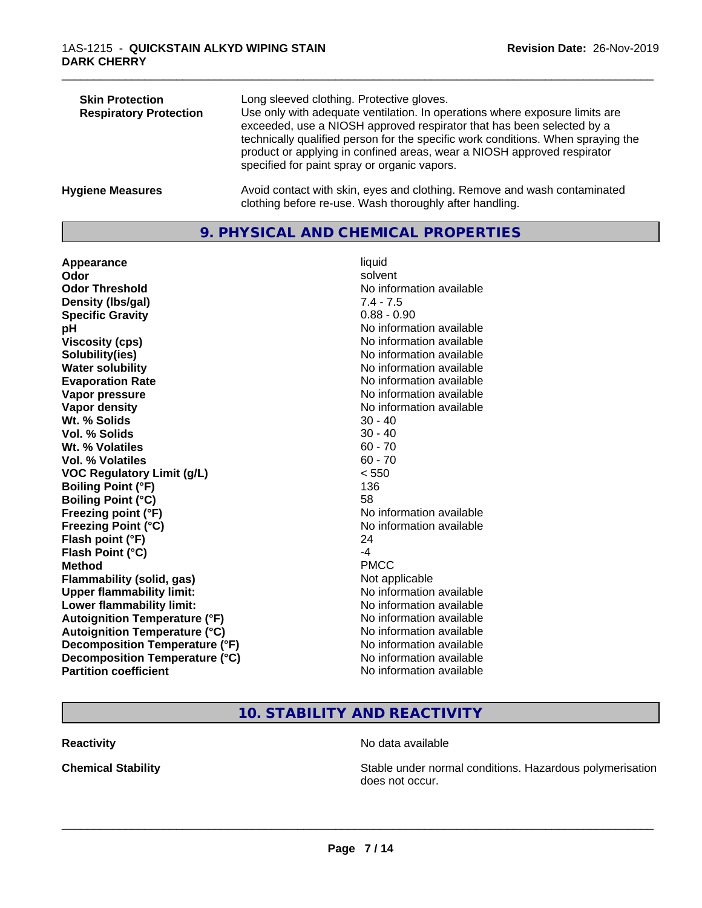| <b>Skin Protection</b><br><b>Respiratory Protection</b> | Long sleeved clothing. Protective gloves.<br>Use only with adequate ventilation. In operations where exposure limits are<br>exceeded, use a NIOSH approved respirator that has been selected by a<br>technically qualified person for the specific work conditions. When spraying the<br>product or applying in confined areas, wear a NIOSH approved respirator<br>specified for paint spray or organic vapors. |
|---------------------------------------------------------|------------------------------------------------------------------------------------------------------------------------------------------------------------------------------------------------------------------------------------------------------------------------------------------------------------------------------------------------------------------------------------------------------------------|
| <b>Hygiene Measures</b>                                 | Avoid contact with skin, eyes and clothing. Remove and wash contaminated<br>clothing before re-use. Wash thoroughly after handling.                                                                                                                                                                                                                                                                              |

### **9. PHYSICAL AND CHEMICAL PROPERTIES**

**Appearance** liquid **Odor** solvent **Odor Threshold** No information available **Density (lbs/gal)** 7.4 - 7.5 **Specific Gravity** 0.88 - 0.90 **pH** No information available **Viscosity (cps)** No information available in the Viscosity (cps) **Solubility(ies)** No information available in the solution of the solution of the solution available in the solution of the solution of the solution of the solution of the solution of the solution of the solution of the so **Water solubility** No information available **Evaporation Rate No information available No information available Vapor pressure** No information available **Vapor density Vapor density No information available Wt. % Solids** 30 - 40 **Vol. % Solids** 30 - 40 **Wt. % Volatiles** 60 - 70 **Vol. % Volatiles** 60 - 70 **VOC Regulatory Limit (g/L)** < 550 **Boiling Point (°F)** 136 **Boiling Point (°C)** 58 **Freezing point (°F)** The state of the state of the Noinformation available **Freezing Point (°C)** No information available **Flash point (°F)** 24 **Flash Point (°C)** -4 **Method** PMCC **Flammability (solid, gas)** Not applicable **Upper flammability limit:** No information available **Lower flammability limit:** No information available **Autoignition Temperature (°F)**<br> **Autoignition Temperature (°C)** No information available **Autoignition Temperature (°C) Decomposition Temperature (°F)** No information available **Decomposition Temperature (°C)** No information available<br> **Partition coefficient Partition available** 

**No information available** 

# **10. STABILITY AND REACTIVITY**

**Reactivity No data available No data available** 

 $\overline{\phantom{a}}$  ,  $\overline{\phantom{a}}$  ,  $\overline{\phantom{a}}$  ,  $\overline{\phantom{a}}$  ,  $\overline{\phantom{a}}$  ,  $\overline{\phantom{a}}$  ,  $\overline{\phantom{a}}$  ,  $\overline{\phantom{a}}$  ,  $\overline{\phantom{a}}$  ,  $\overline{\phantom{a}}$  ,  $\overline{\phantom{a}}$  ,  $\overline{\phantom{a}}$  ,  $\overline{\phantom{a}}$  ,  $\overline{\phantom{a}}$  ,  $\overline{\phantom{a}}$  ,  $\overline{\phantom{a}}$ 

**Chemical Stability Stability** Stable under normal conditions. Hazardous polymerisation does not occur.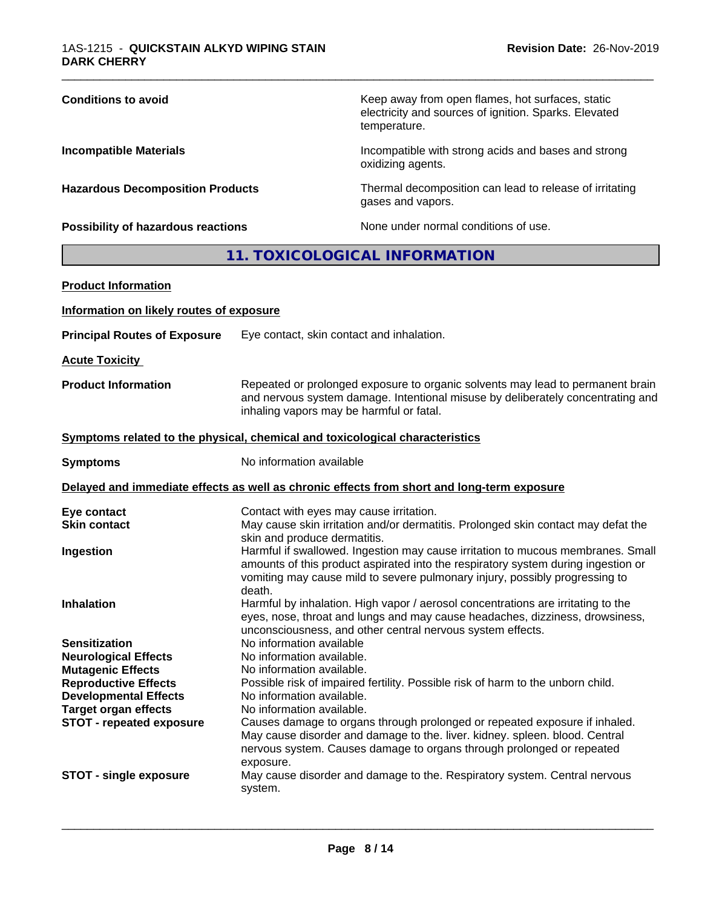| <b>Conditions to avoid</b>                | Keep away from open flames, hot surfaces, static<br>electricity and sources of ignition. Sparks. Elevated<br>temperature. |
|-------------------------------------------|---------------------------------------------------------------------------------------------------------------------------|
| <b>Incompatible Materials</b>             | Incompatible with strong acids and bases and strong<br>oxidizing agents.                                                  |
| <b>Hazardous Decomposition Products</b>   | Thermal decomposition can lead to release of irritating<br>gases and vapors.                                              |
| <b>Possibility of hazardous reactions</b> | None under normal conditions of use.                                                                                      |

# **11. TOXICOLOGICAL INFORMATION**

| <b>Product Information</b>                              |                                                                                                                                                                                                                                                               |  |  |
|---------------------------------------------------------|---------------------------------------------------------------------------------------------------------------------------------------------------------------------------------------------------------------------------------------------------------------|--|--|
| Information on likely routes of exposure                |                                                                                                                                                                                                                                                               |  |  |
| <b>Principal Routes of Exposure</b>                     | Eye contact, skin contact and inhalation.                                                                                                                                                                                                                     |  |  |
| <b>Acute Toxicity</b>                                   |                                                                                                                                                                                                                                                               |  |  |
| <b>Product Information</b>                              | Repeated or prolonged exposure to organic solvents may lead to permanent brain<br>and nervous system damage. Intentional misuse by deliberately concentrating and<br>inhaling vapors may be harmful or fatal.                                                 |  |  |
|                                                         | Symptoms related to the physical, chemical and toxicological characteristics                                                                                                                                                                                  |  |  |
| <b>Symptoms</b>                                         | No information available                                                                                                                                                                                                                                      |  |  |
|                                                         | Delayed and immediate effects as well as chronic effects from short and long-term exposure                                                                                                                                                                    |  |  |
| Eye contact<br><b>Skin contact</b>                      | Contact with eyes may cause irritation.<br>May cause skin irritation and/or dermatitis. Prolonged skin contact may defat the<br>skin and produce dermatitis.                                                                                                  |  |  |
| Ingestion                                               | Harmful if swallowed. Ingestion may cause irritation to mucous membranes. Small<br>amounts of this product aspirated into the respiratory system during ingestion or<br>vomiting may cause mild to severe pulmonary injury, possibly progressing to<br>death. |  |  |
| <b>Inhalation</b>                                       | Harmful by inhalation. High vapor / aerosol concentrations are irritating to the<br>eyes, nose, throat and lungs and may cause headaches, dizziness, drowsiness,<br>unconsciousness, and other central nervous system effects.                                |  |  |
| <b>Sensitization</b>                                    | No information available                                                                                                                                                                                                                                      |  |  |
| <b>Neurological Effects</b>                             | No information available.                                                                                                                                                                                                                                     |  |  |
| <b>Mutagenic Effects</b><br><b>Reproductive Effects</b> | No information available.<br>Possible risk of impaired fertility. Possible risk of harm to the unborn child.                                                                                                                                                  |  |  |
| <b>Developmental Effects</b>                            | No information available.                                                                                                                                                                                                                                     |  |  |
| <b>Target organ effects</b>                             | No information available.                                                                                                                                                                                                                                     |  |  |
| <b>STOT - repeated exposure</b>                         | Causes damage to organs through prolonged or repeated exposure if inhaled.<br>May cause disorder and damage to the. liver. kidney. spleen. blood. Central<br>nervous system. Causes damage to organs through prolonged or repeated<br>exposure.               |  |  |
| <b>STOT - single exposure</b>                           | May cause disorder and damage to the. Respiratory system. Central nervous<br>system.                                                                                                                                                                          |  |  |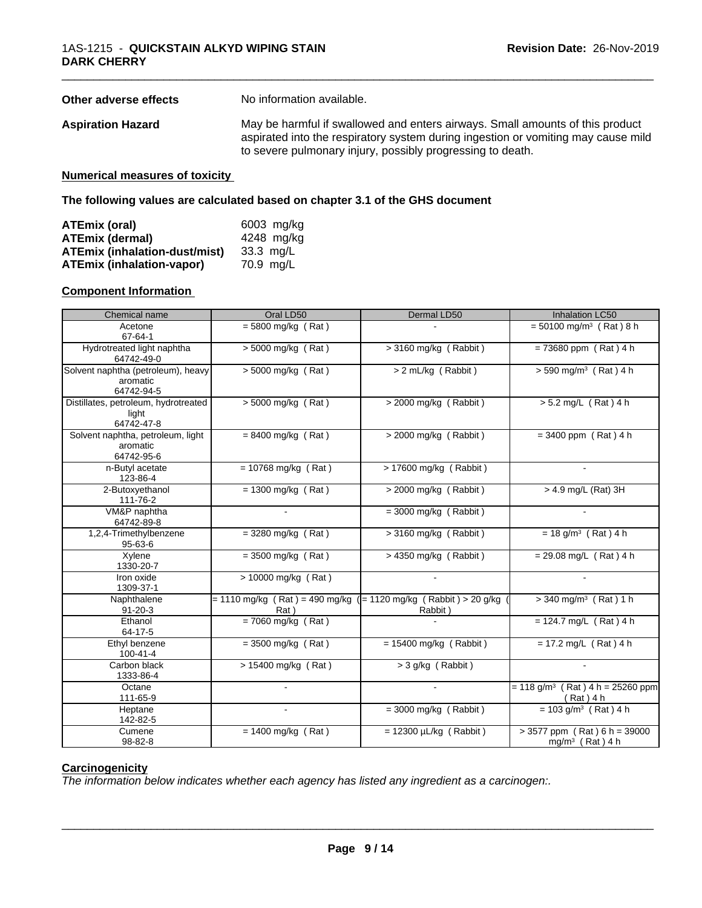| Other adverse effects | No information available.                                                                                                                                                                                                        |
|-----------------------|----------------------------------------------------------------------------------------------------------------------------------------------------------------------------------------------------------------------------------|
| Aspiration Hazard     | May be harmful if swallowed and enters airways. Small amounts of this product<br>aspirated into the respiratory system during ingestion or vomiting may cause mild<br>to severe pulmonary injury, possibly progressing to death. |
|                       |                                                                                                                                                                                                                                  |

#### **Numerical measures of toxicity**

#### **The following values are calculated based on chapter 3.1 of the GHS document**

| ATEmix (oral)                        | 6003 mg/kg |
|--------------------------------------|------------|
| <b>ATEmix (dermal)</b>               | 4248 mg/kg |
| <b>ATEmix (inhalation-dust/mist)</b> | 33.3 mg/L  |
| <b>ATEmix (inhalation-vapor)</b>     | 70.9 mg/L  |

#### **Component Information**

| Chemical name                                                | Oral LD50                                                                | Dermal LD50                 | Inhalation LC50                                                 |
|--------------------------------------------------------------|--------------------------------------------------------------------------|-----------------------------|-----------------------------------------------------------------|
| Acetone<br>$67 - 64 - 1$                                     | $= 5800$ mg/kg (Rat)                                                     |                             | $= 50100$ mg/m <sup>3</sup> (Rat) 8 h                           |
| Hydrotreated light naphtha<br>64742-49-0                     | $> 5000$ mg/kg (Rat)                                                     | > 3160 mg/kg (Rabbit)       | $= 73680$ ppm (Rat) 4 h                                         |
| Solvent naphtha (petroleum), heavy<br>aromatic<br>64742-94-5 | > 5000 mg/kg (Rat)                                                       | > 2 mL/kg (Rabbit)          | $> 590$ mg/m <sup>3</sup> (Rat) 4 h                             |
| Distillates, petroleum, hydrotreated<br>light<br>64742-47-8  | $> 5000$ mg/kg (Rat)                                                     | $>$ 2000 mg/kg (Rabbit)     | $> 5.2$ mg/L (Rat) 4 h                                          |
| Solvent naphtha, petroleum, light<br>aromatic<br>64742-95-6  | $= 8400$ mg/kg (Rat)                                                     | $>$ 2000 mg/kg (Rabbit)     | $= 3400$ ppm (Rat) 4 h                                          |
| n-Butyl acetate<br>123-86-4                                  | $= 10768$ mg/kg (Rat)                                                    | > 17600 mg/kg (Rabbit)      |                                                                 |
| 2-Butoxyethanol<br>111-76-2                                  | $= 1300$ mg/kg (Rat)                                                     | > 2000 mg/kg (Rabbit)       | $> 4.9$ mg/L (Rat) 3H                                           |
| VM&P naphtha<br>64742-89-8                                   |                                                                          | $=$ 3000 mg/kg (Rabbit)     |                                                                 |
| 1,2,4-Trimethylbenzene<br>$95 - 63 - 6$                      | $=$ 3280 mg/kg (Rat)                                                     | $>$ 3160 mg/kg (Rabbit)     | $= 18$ g/m <sup>3</sup> (Rat) 4 h                               |
| Xylene<br>1330-20-7                                          | $=$ 3500 mg/kg (Rat)                                                     | > 4350 mg/kg (Rabbit)       | $= 29.08$ mg/L (Rat) 4 h                                        |
| Iron oxide<br>1309-37-1                                      | > 10000 mg/kg (Rat)                                                      |                             |                                                                 |
| Naphthalene<br>$91 - 20 - 3$                                 | = 1110 mg/kg (Rat) = 490 mg/kg ( = 1120 mg/kg (Rabbit) > 20 g/kg<br>Rat) | Rabbit)                     | $>$ 340 mg/m <sup>3</sup> (Rat) 1 h                             |
| Ethanol<br>64-17-5                                           | $= 7060$ mg/kg (Rat)                                                     |                             | $= 124.7$ mg/L (Rat) 4 h                                        |
| Ethyl benzene<br>100-41-4                                    | $= 3500$ mg/kg (Rat)                                                     | $= 15400$ mg/kg (Rabbit)    | $= 17.2$ mg/L (Rat) 4 h                                         |
| Carbon black<br>1333-86-4                                    | $> 15400$ mg/kg (Rat)                                                    | $>$ 3 g/kg (Rabbit)         |                                                                 |
| Octane<br>111-65-9                                           | $\sim$                                                                   |                             | $= 118$ g/m <sup>3</sup> (Rat) 4 h = 25260 ppm<br>$(Rat)$ 4 h   |
| Heptane<br>142-82-5                                          | $\sim$                                                                   | $=$ 3000 mg/kg (Rabbit)     | $= 103$ g/m <sup>3</sup> (Rat) 4 h                              |
| Cumene<br>98-82-8                                            | $= 1400$ mg/kg (Rat)                                                     | $= 12300 \mu L/kg$ (Rabbit) | $> 3577$ ppm (Rat) 6 h = 39000<br>mg/m <sup>3</sup> (Rat) $4 h$ |

#### **Carcinogenicity**

*The information below indicateswhether each agency has listed any ingredient as a carcinogen:.*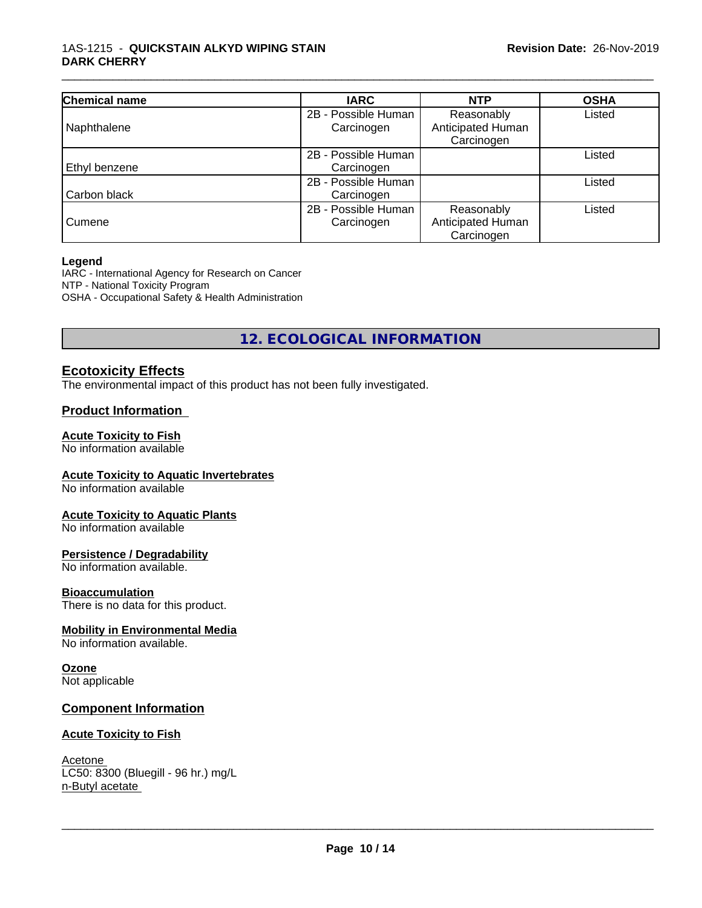| Chemical name | <b>IARC</b>         | <b>NTP</b>        | <b>OSHA</b> |
|---------------|---------------------|-------------------|-------------|
|               | 2B - Possible Human | Reasonably        | Listed      |
| Naphthalene   | Carcinogen          | Anticipated Human |             |
|               |                     | Carcinogen        |             |
|               | 2B - Possible Human |                   | Listed      |
| Ethyl benzene | Carcinogen          |                   |             |
|               | 2B - Possible Human |                   | Listed      |
| Carbon black  | Carcinogen          |                   |             |
|               | 2B - Possible Human | Reasonably        | Listed      |
| Cumene        | Carcinogen          | Anticipated Human |             |
|               |                     | Carcinogen        |             |

#### **Legend**

IARC - International Agency for Research on Cancer NTP - National Toxicity Program OSHA - Occupational Safety & Health Administration

**12. ECOLOGICAL INFORMATION**

# **Ecotoxicity Effects**

The environmental impact of this product has not been fully investigated.

#### **Product Information**

#### **Acute Toxicity to Fish**

No information available

#### **Acute Toxicity to Aquatic Invertebrates**

No information available

#### **Acute Toxicity to Aquatic Plants**

No information available

#### **Persistence / Degradability**

No information available.

#### **Bioaccumulation**

There is no data for this product.

#### **Mobility in Environmental Media**

No information available.

#### **Ozone**

Not applicable

#### **Component Information**

#### **Acute Toxicity to Fish**

Acetone LC50: 8300 (Bluegill - 96 hr.) mg/L n-Butyl acetate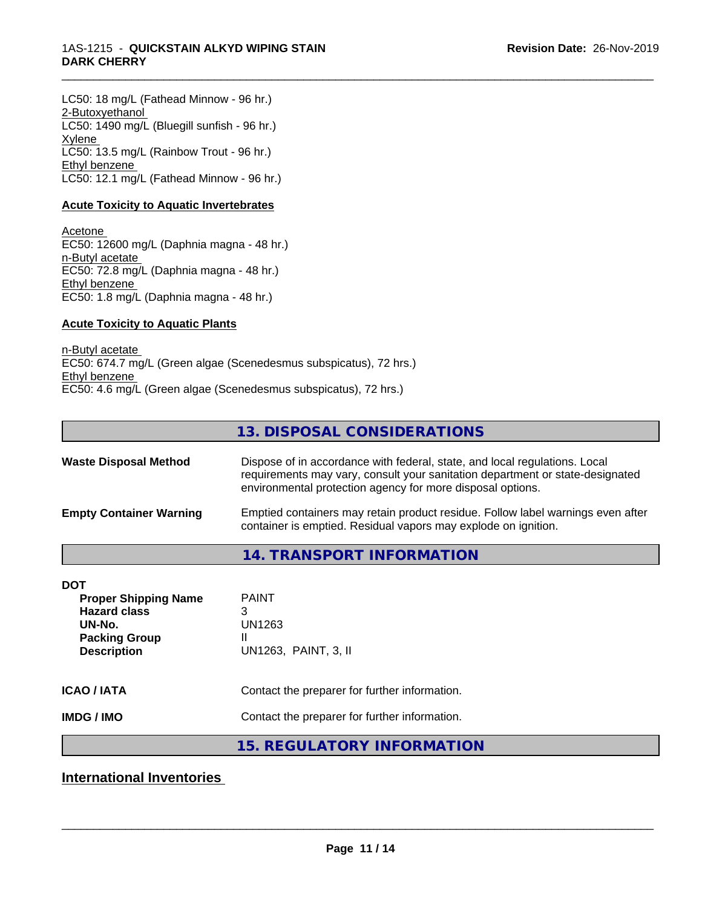LC50: 18 mg/L (Fathead Minnow - 96 hr.) 2-Butoxyethanol LC50: 1490 mg/L (Bluegill sunfish - 96 hr.) **Xylene** LC50: 13.5 mg/L (Rainbow Trout - 96 hr.) Ethyl benzene LC50: 12.1 mg/L (Fathead Minnow - 96 hr.)

#### **Acute Toxicity to Aquatic Invertebrates**

Acetone EC50: 12600 mg/L (Daphnia magna - 48 hr.) n-Butyl acetate EC50: 72.8 mg/L (Daphnia magna - 48 hr.) Ethyl benzene EC50: 1.8 mg/L (Daphnia magna - 48 hr.)

#### **Acute Toxicity to Aquatic Plants**

n-Butyl acetate EC50: 674.7 mg/L (Green algae (Scenedesmus subspicatus), 72 hrs.) Ethyl benzene EC50: 4.6 mg/L (Green algae (Scenedesmus subspicatus), 72 hrs.)

#### **13. DISPOSAL CONSIDERATIONS**

\_\_\_\_\_\_\_\_\_\_\_\_\_\_\_\_\_\_\_\_\_\_\_\_\_\_\_\_\_\_\_\_\_\_\_\_\_\_\_\_\_\_\_\_\_\_\_\_\_\_\_\_\_\_\_\_\_\_\_\_\_\_\_\_\_\_\_\_\_\_\_\_\_\_\_\_\_\_\_\_\_\_\_\_\_\_\_\_\_\_\_\_\_

| <b>Waste Disposal Method</b>   | Dispose of in accordance with federal, state, and local regulations. Local<br>requirements may vary, consult your sanitation department or state-designated<br>environmental protection agency for more disposal options. |
|--------------------------------|---------------------------------------------------------------------------------------------------------------------------------------------------------------------------------------------------------------------------|
| <b>Empty Container Warning</b> | Emptied containers may retain product residue. Follow label warnings even after<br>container is emptied. Residual vapors may explode on ignition.                                                                         |

#### **14. TRANSPORT INFORMATION**

| <b>DOT</b><br><b>Proper Shipping Name</b><br><b>Hazard class</b><br>UN-No.<br><b>Packing Group</b><br><b>Description</b> | <b>PAINT</b><br>3<br>UN1263<br>Ш<br>UN1263, PAINT, 3, II |
|--------------------------------------------------------------------------------------------------------------------------|----------------------------------------------------------|
| <b>ICAO/IATA</b>                                                                                                         | Contact the preparer for further information.            |
| <b>IMDG/IMO</b>                                                                                                          | Contact the preparer for further information.            |
|                                                                                                                          |                                                          |

**15. REGULATORY INFORMATION**

**International Inventories**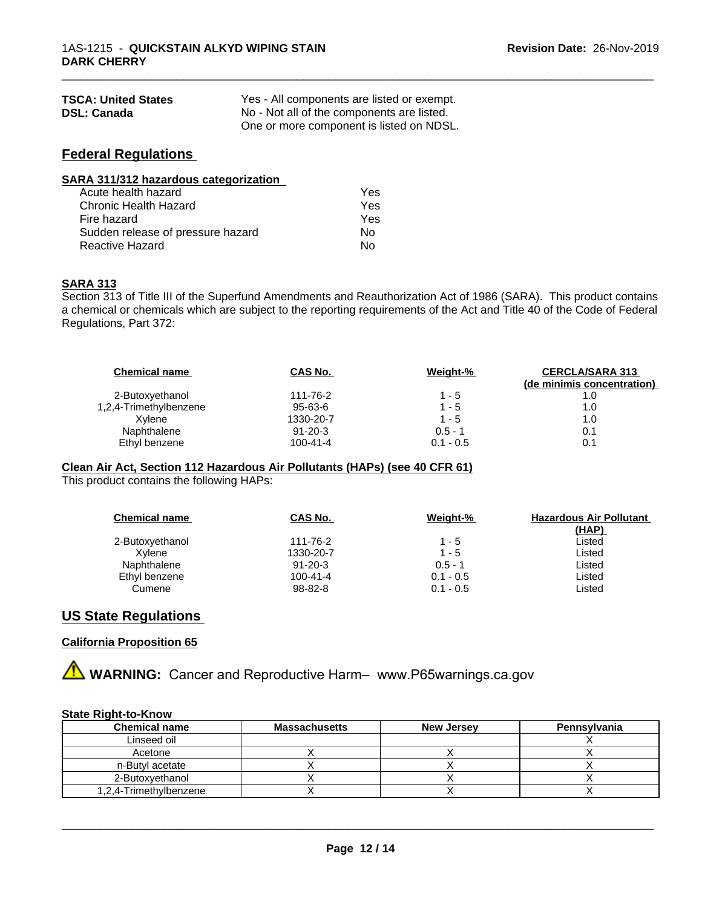| <b>TSCA: United States</b> | Yes - All components are listed or exempt. |
|----------------------------|--------------------------------------------|
| <b>DSL: Canada</b>         | No - Not all of the components are listed. |
|                            | One or more component is listed on NDSL.   |

# **Federal Regulations**

| SARA 311/312 hazardous categorization |            |  |
|---------------------------------------|------------|--|
| Acute health hazard                   | <b>Yes</b> |  |
| Chronic Health Hazard                 | Yes        |  |

| Chronic Health Hazard             | Yes  |
|-----------------------------------|------|
| Fire hazard                       | Yes. |
| Sudden release of pressure hazard | Nο   |
| Reactive Hazard                   | N٥   |

#### **SARA 313**

Section 313 of Title III of the Superfund Amendments and Reauthorization Act of 1986 (SARA). This product contains a chemical or chemicals which are subject to the reporting requirements of the Act and Title 40 of the Code of Federal Regulations, Part 372:

\_\_\_\_\_\_\_\_\_\_\_\_\_\_\_\_\_\_\_\_\_\_\_\_\_\_\_\_\_\_\_\_\_\_\_\_\_\_\_\_\_\_\_\_\_\_\_\_\_\_\_\_\_\_\_\_\_\_\_\_\_\_\_\_\_\_\_\_\_\_\_\_\_\_\_\_\_\_\_\_\_\_\_\_\_\_\_\_\_\_\_\_\_

| <b>Chemical name</b>   | CAS No.        | Weight-%    | <b>CERCLA/SARA 313</b><br>(de minimis concentration) |
|------------------------|----------------|-------------|------------------------------------------------------|
| 2-Butoxyethanol        | 111-76-2       | 1 - 5       |                                                      |
| 1,2,4-Trimethylbenzene | 95-63-6        | $1 - 5$     | 1.0                                                  |
| Xvlene                 | 1330-20-7      | $1 - 5$     | 1.0                                                  |
| Naphthalene            | $91 - 20 - 3$  | $0.5 - 1$   | 0.1                                                  |
| Ethyl benzene          | $100 - 41 - 4$ | $0.1 - 0.5$ | 0.1                                                  |

#### **Clean Air Act,Section 112 Hazardous Air Pollutants (HAPs) (see 40 CFR 61)**

This product contains the following HAPs:

| <b>Chemical name</b> | CAS No.        | Weight-%    | <b>Hazardous Air Pollutant</b> |
|----------------------|----------------|-------------|--------------------------------|
| 2-Butoxyethanol      | 111-76-2       | $1 - 5$     | <u>(HAP)</u><br>Listed         |
| Xvlene               | 1330-20-7      | $1 - 5$     | Listed                         |
| Naphthalene          | $91 - 20 - 3$  | $0.5 - 1$   | Listed                         |
| Ethyl benzene        | $100 - 41 - 4$ | $0.1 - 0.5$ | Listed                         |
| Cumene               | 98-82-8        | $0.1 - 0.5$ | Listed                         |

# **US State Regulations**

#### **California Proposition 65**

**A** WARNING: Cancer and Reproductive Harm– www.P65warnings.ca.gov

### **State Right-to-Know**

| <b>Chemical name</b>   | <b>Massachusetts</b> | <b>New Jersey</b> | Pennsylvania |
|------------------------|----------------------|-------------------|--------------|
| Linseed oil            |                      |                   |              |
| Acetone                |                      |                   |              |
| n-Butyl acetate        |                      |                   |              |
| 2-Butoxvethanol        |                      |                   |              |
| 1.2.4-Trimethylbenzene |                      |                   |              |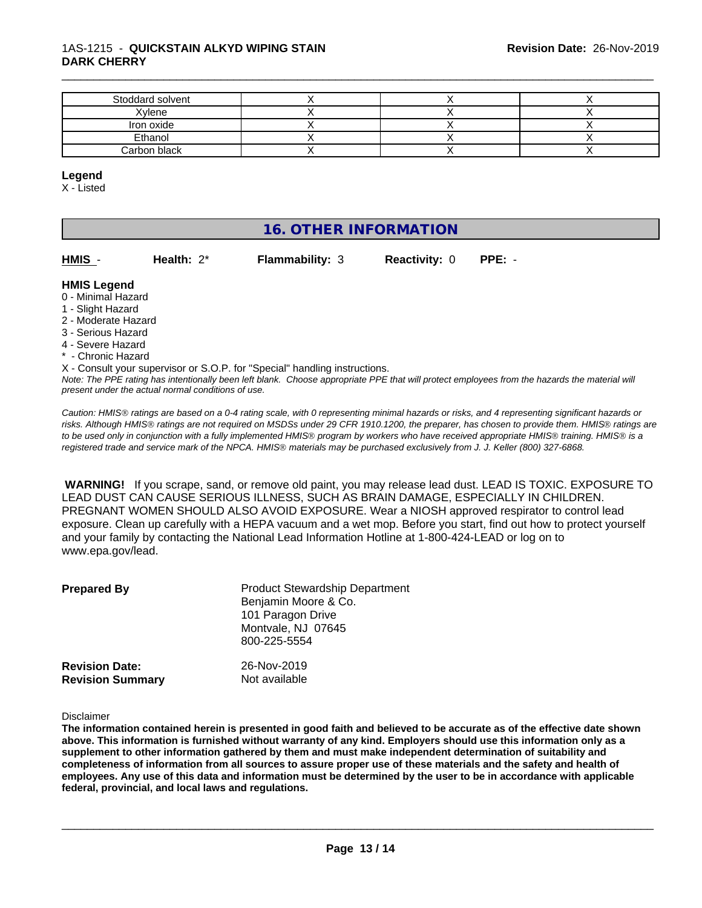#### 1AS-1215 - **QUICKSTAIN ALKYD WIPING STAIN DARK CHERRY**

| Stoddard solvent |  |  |
|------------------|--|--|
| Xylene           |  |  |
| Iron oxide       |  |  |
| Ethanol          |  |  |
| Carbon black     |  |  |

\_\_\_\_\_\_\_\_\_\_\_\_\_\_\_\_\_\_\_\_\_\_\_\_\_\_\_\_\_\_\_\_\_\_\_\_\_\_\_\_\_\_\_\_\_\_\_\_\_\_\_\_\_\_\_\_\_\_\_\_\_\_\_\_\_\_\_\_\_\_\_\_\_\_\_\_\_\_\_\_\_\_\_\_\_\_\_\_\_\_\_\_\_

#### **Legend**

X - Listed

# **16. OTHER INFORMATION**

| HMIS -<br><b>Flammability: 3</b><br><b>Reactivity: 0 PPE: -</b><br>Health: $2^*$ |  |  |
|----------------------------------------------------------------------------------|--|--|
|----------------------------------------------------------------------------------|--|--|

#### **HMIS Legend**

- 0 Minimal Hazard
- 1 Slight Hazard
- 2 Moderate Hazard
- 3 Serious Hazard
- 4 Severe Hazard
- \* Chronic Hazard

X - Consult your supervisor or S.O.P. for "Special" handling instructions.

*Note: The PPE rating has intentionally been left blank. Choose appropriate PPE that will protect employees from the hazards the material will present under the actual normal conditions of use.*

*Caution: HMISÒ ratings are based on a 0-4 rating scale, with 0 representing minimal hazards or risks, and 4 representing significant hazards or risks. Although HMISÒ ratings are not required on MSDSs under 29 CFR 1910.1200, the preparer, has chosen to provide them. HMISÒ ratings are to be used only in conjunction with a fully implemented HMISÒ program by workers who have received appropriate HMISÒ training. HMISÒ is a registered trade and service mark of the NPCA. HMISÒ materials may be purchased exclusively from J. J. Keller (800) 327-6868.*

 **WARNING!** If you scrape, sand, or remove old paint, you may release lead dust. LEAD IS TOXIC. EXPOSURE TO LEAD DUST CAN CAUSE SERIOUS ILLNESS, SUCH AS BRAIN DAMAGE, ESPECIALLY IN CHILDREN. PREGNANT WOMEN SHOULD ALSO AVOID EXPOSURE.Wear a NIOSH approved respirator to control lead exposure. Clean up carefully with a HEPA vacuum and a wet mop. Before you start, find out how to protect yourself and your family by contacting the National Lead Information Hotline at 1-800-424-LEAD or log on to www.epa.gov/lead.

| <b>Prepared By</b>                               | <b>Product Stewardship Department</b><br>Benjamin Moore & Co.<br>101 Paragon Drive<br>Montvale, NJ 07645<br>800-225-5554 |  |
|--------------------------------------------------|--------------------------------------------------------------------------------------------------------------------------|--|
| <b>Revision Date:</b><br><b>Revision Summary</b> | 26-Nov-2019<br>Not available                                                                                             |  |

Disclaimer

The information contained herein is presented in good faith and believed to be accurate as of the effective date shown above. This information is furnished without warranty of any kind. Employers should use this information only as a **supplement to other information gathered by them and must make independent determination of suitability and** completeness of information from all sources to assure proper use of these materials and the safety and health of employees. Any use of this data and information must be determined by the user to be in accordance with applicable **federal, provincial, and local laws and regulations.**